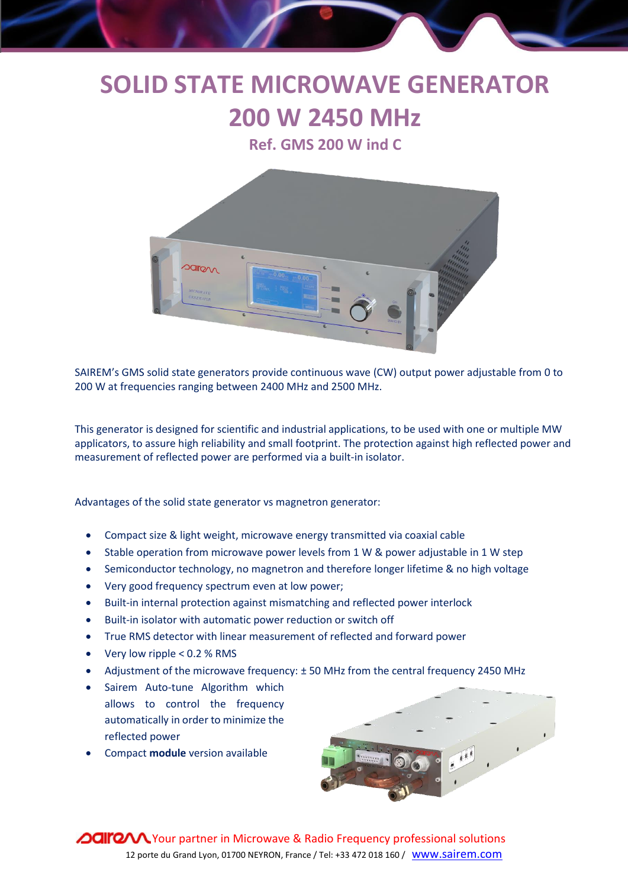## **SOLID STATE MICROWAVE GENERATOR 200 W 2450 MHz**

**Ref. GMS 200 W ind C** 



SAIREM's GMS solid state generators provide continuous wave (CW) output power adjustable from 0 to 200 W at frequencies ranging between 2400 MHz and 2500 MHz.

This generator is designed for scientific and industrial applications, to be used with one or multiple MW applicators, to assure high reliability and small footprint. The protection against high reflected power and measurement of reflected power are performed via a built-in isolator.

Advantages of the solid state generator vs magnetron generator:

- Compact size & light weight, microwave energy transmitted via coaxial cable
- Stable operation from microwave power levels from 1 W & power adjustable in 1 W step
- Semiconductor technology, no magnetron and therefore longer lifetime & no high voltage
- Very good frequency spectrum even at low power;
- Built-in internal protection against mismatching and reflected power interlock
- Built-in isolator with automatic power reduction or switch off
- True RMS detector with linear measurement of reflected and forward power
- Very low ripple < 0.2 % RMS
- Adjustment of the microwave frequency: ± 50 MHz from the central frequency 2450 MHz
- Sairem Auto-tune Algorithm which allows to control the frequency automatically in order to minimize the reflected power
- Compact **module** version available



**OUITO V**Your partner in Microwave & Radio Frequency professional solutions 12 porte du Grand Lyon, 01700 NEYRON, France / Tel: +33 472 018 160 / www.sairem.com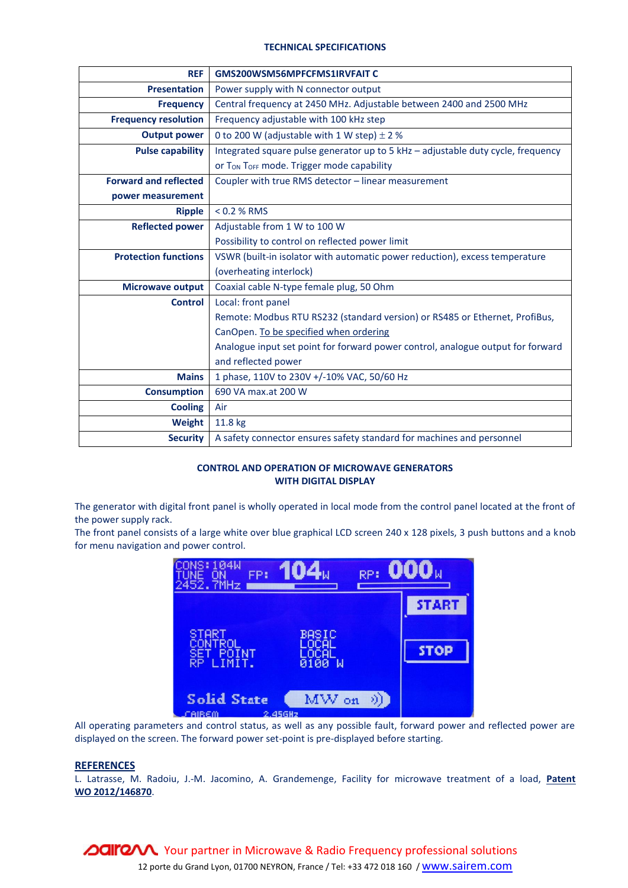## **TECHNICAL SPECIFICATIONS**

| <b>REF</b>                   | <b>GMS200WSM56MPFCFMS1IRVFAIT C</b>                                              |
|------------------------------|----------------------------------------------------------------------------------|
| <b>Presentation</b>          | Power supply with N connector output                                             |
| <b>Frequency</b>             | Central frequency at 2450 MHz. Adjustable between 2400 and 2500 MHz              |
| <b>Frequency resolution</b>  | Frequency adjustable with 100 kHz step                                           |
| <b>Output power</b>          | 0 to 200 W (adjustable with 1 W step) $\pm$ 2 %                                  |
| <b>Pulse capability</b>      | Integrated square pulse generator up to 5 kHz - adjustable duty cycle, frequency |
|                              | Or TON TOFF mode. Trigger mode capability                                        |
| <b>Forward and reflected</b> | Coupler with true RMS detector - linear measurement                              |
| power measurement            |                                                                                  |
| <b>Ripple</b>                | $< 0.2 %$ RMS                                                                    |
| <b>Reflected power</b>       | Adjustable from 1 W to 100 W                                                     |
|                              | Possibility to control on reflected power limit                                  |
| <b>Protection functions</b>  | VSWR (built-in isolator with automatic power reduction), excess temperature      |
|                              | (overheating interlock)                                                          |
| <b>Microwave output</b>      | Coaxial cable N-type female plug, 50 Ohm                                         |
| <b>Control</b>               | Local: front panel                                                               |
|                              | Remote: Modbus RTU RS232 (standard version) or RS485 or Ethernet, ProfiBus,      |
|                              | CanOpen. To be specified when ordering                                           |
|                              | Analogue input set point for forward power control, analogue output for forward  |
|                              | and reflected power                                                              |
| <b>Mains</b>                 | 1 phase, 110V to 230V +/-10% VAC, 50/60 Hz                                       |
| <b>Consumption</b>           | 690 VA max.at 200 W                                                              |
| <b>Cooling</b>               | Air                                                                              |
| Weight                       | 11.8 kg                                                                          |
| <b>Security</b>              | A safety connector ensures safety standard for machines and personnel            |

## **CONTROL AND OPERATION OF MICROWAVE GENERATORS WITH DIGITAL DISPLAY**

The generator with digital front panel is wholly operated in local mode from the control panel located at the front of the power supply rack.

The front panel consists of a large white over blue graphical LCD screen 240 x 128 pixels, 3 push buttons and a knob for menu navigation and power control.



All operating parameters and control status, as well as any possible fault, forward power and reflected power are displayed on the screen. The forward power set-point is pre-displayed before starting.

## **REFERENCES**

L. Latrasse, M. Radoiu, J.-M. Jacomino, A. Grandemenge, Facility for microwave treatment of a load, **Patent WO 2012/146870**.